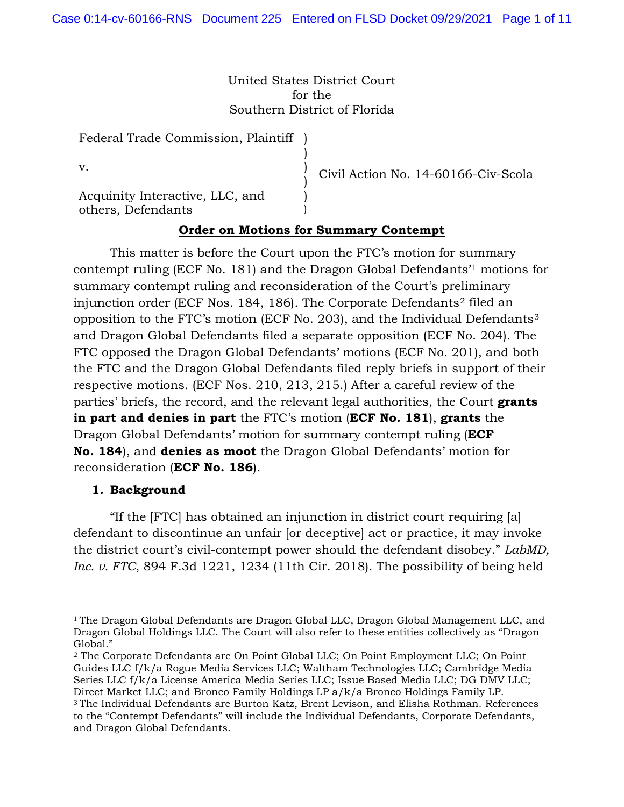United States District Court for the Southern District of Florida

> ) ) ) ) )

Federal Trade Commission, Plaintiff )

v.

Acquinity Interactive, LLC, and others, Defendants

Civil Action No. 14-60166-Civ-Scola

# **Order on Motions for Summary Contempt**

This matter is before the Court upon the FTC's motion for summary contempt ruling (ECF No. 181) and the Dragon Global Defendants'1 motions for summary contempt ruling and reconsideration of the Court's preliminary injunction order (ECF Nos. 184, 186). The Corporate Defendants2 filed an opposition to the FTC's motion (ECF No. 203), and the Individual Defendants3 and Dragon Global Defendants filed a separate opposition (ECF No. 204). The FTC opposed the Dragon Global Defendants' motions (ECF No. 201), and both the FTC and the Dragon Global Defendants filed reply briefs in support of their respective motions. (ECF Nos. 210, 213, 215.) After a careful review of the parties' briefs, the record, and the relevant legal authorities, the Court **grants in part and denies in part** the FTC's motion (**ECF No. 181**), **grants** the Dragon Global Defendants' motion for summary contempt ruling (**ECF No. 184**), and **denies as moot** the Dragon Global Defendants' motion for reconsideration (**ECF No. 186**).

#### **1. Background**

"If the [FTC] has obtained an injunction in district court requiring [a] defendant to discontinue an unfair [or deceptive] act or practice, it may invoke the district court's civil-contempt power should the defendant disobey." *LabMD, Inc. v. FTC*, 894 F.3d 1221, 1234 (11th Cir. 2018). The possibility of being held

<sup>&</sup>lt;sup>1</sup> The Dragon Global Defendants are Dragon Global LLC, Dragon Global Management LLC, and Dragon Global Holdings LLC. The Court will also refer to these entities collectively as "Dragon Global."

<sup>2</sup> The Corporate Defendants are On Point Global LLC; On Point Employment LLC; On Point Guides LLC f/k/a Rogue Media Services LLC; Waltham Technologies LLC; Cambridge Media Series LLC f/k/a License America Media Series LLC; Issue Based Media LLC; DG DMV LLC; Direct Market LLC; and Bronco Family Holdings LP a/k/a Bronco Holdings Family LP.

<sup>3</sup> The Individual Defendants are Burton Katz, Brent Levison, and Elisha Rothman. References to the "Contempt Defendants" will include the Individual Defendants, Corporate Defendants, and Dragon Global Defendants.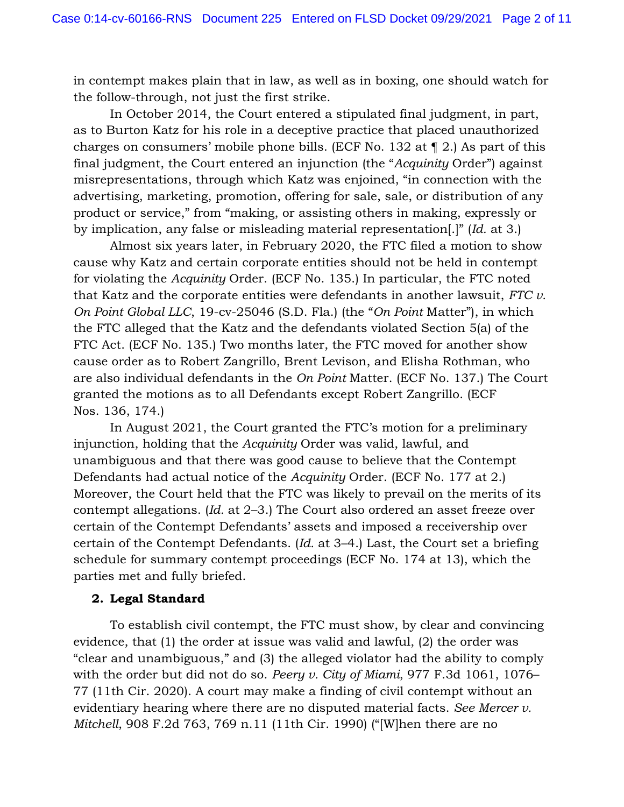in contempt makes plain that in law, as well as in boxing, one should watch for the follow-through, not just the first strike.

In October 2014, the Court entered a stipulated final judgment, in part, as to Burton Katz for his role in a deceptive practice that placed unauthorized charges on consumers' mobile phone bills. (ECF No. 132 at ¶ 2.) As part of this final judgment, the Court entered an injunction (the "*Acquinity* Order") against misrepresentations, through which Katz was enjoined, "in connection with the advertising, marketing, promotion, offering for sale, sale, or distribution of any product or service," from "making, or assisting others in making, expressly or by implication, any false or misleading material representation[.]" (*Id.* at 3.)

Almost six years later, in February 2020, the FTC filed a motion to show cause why Katz and certain corporate entities should not be held in contempt for violating the *Acquinity* Order. (ECF No. 135.) In particular, the FTC noted that Katz and the corporate entities were defendants in another lawsuit, *FTC v. On Point Global LLC*, 19-cv-25046 (S.D. Fla.) (the "*On Point* Matter"), in which the FTC alleged that the Katz and the defendants violated Section 5(a) of the FTC Act. (ECF No. 135.) Two months later, the FTC moved for another show cause order as to Robert Zangrillo, Brent Levison, and Elisha Rothman, who are also individual defendants in the *On Point* Matter. (ECF No. 137.) The Court granted the motions as to all Defendants except Robert Zangrillo. (ECF Nos. 136, 174.)

In August 2021, the Court granted the FTC's motion for a preliminary injunction, holding that the *Acquinity* Order was valid, lawful, and unambiguous and that there was good cause to believe that the Contempt Defendants had actual notice of the *Acquinity* Order. (ECF No. 177 at 2.) Moreover, the Court held that the FTC was likely to prevail on the merits of its contempt allegations. (*Id.* at 2–3.) The Court also ordered an asset freeze over certain of the Contempt Defendants' assets and imposed a receivership over certain of the Contempt Defendants. (*Id.* at 3–4.) Last, the Court set a briefing schedule for summary contempt proceedings (ECF No. 174 at 13), which the parties met and fully briefed.

### **2. Legal Standard**

To establish civil contempt, the FTC must show, by clear and convincing evidence, that (1) the order at issue was valid and lawful, (2) the order was "clear and unambiguous," and (3) the alleged violator had the ability to comply with the order but did not do so. *Peery v. City of Miami*, 977 F.3d 1061, 1076– 77 (11th Cir. 2020). A court may make a finding of civil contempt without an evidentiary hearing where there are no disputed material facts. *See Mercer v. Mitchell*, 908 F.2d 763, 769 n.11 (11th Cir. 1990) ("[W]hen there are no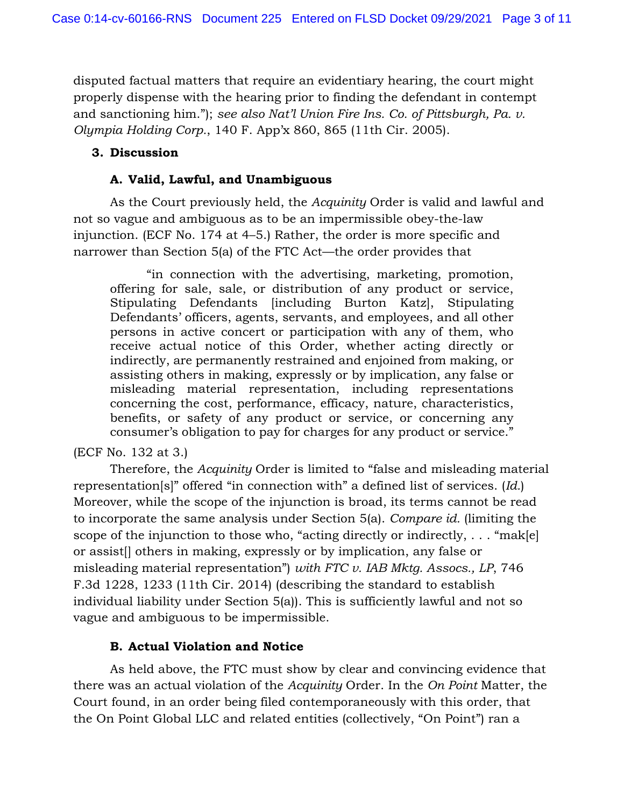disputed factual matters that require an evidentiary hearing, the court might properly dispense with the hearing prior to finding the defendant in contempt and sanctioning him."); *see also Nat'l Union Fire Ins. Co. of Pittsburgh, Pa. v. Olympia Holding Corp.*, 140 F. App'x 860, 865 (11th Cir. 2005).

## **3. Discussion**

# **A. Valid, Lawful, and Unambiguous**

As the Court previously held, the *Acquinity* Order is valid and lawful and not so vague and ambiguous as to be an impermissible obey-the-law injunction. (ECF No. 174 at 4–5.) Rather, the order is more specific and narrower than Section 5(a) of the FTC Act—the order provides that

"in connection with the advertising, marketing, promotion, offering for sale, sale, or distribution of any product or service, Stipulating Defendants [including Burton Katz], Stipulating Defendants' officers, agents, servants, and employees, and all other persons in active concert or participation with any of them, who receive actual notice of this Order, whether acting directly or indirectly, are permanently restrained and enjoined from making, or assisting others in making, expressly or by implication, any false or misleading material representation, including representations concerning the cost, performance, efficacy, nature, characteristics, benefits, or safety of any product or service, or concerning any consumer's obligation to pay for charges for any product or service."

(ECF No. 132 at 3.)

Therefore, the *Acquinity* Order is limited to "false and misleading material representation[s]" offered "in connection with" a defined list of services. (*Id.*) Moreover, while the scope of the injunction is broad, its terms cannot be read to incorporate the same analysis under Section 5(a). *Compare id.* (limiting the scope of the injunction to those who, "acting directly or indirectly,  $\dots$  "mak[e] or assist[] others in making, expressly or by implication, any false or misleading material representation") *with FTC v. IAB Mktg. Assocs., LP*, 746 F.3d 1228, 1233 (11th Cir. 2014) (describing the standard to establish individual liability under Section 5(a)). This is sufficiently lawful and not so vague and ambiguous to be impermissible.

# **B. Actual Violation and Notice**

As held above, the FTC must show by clear and convincing evidence that there was an actual violation of the *Acquinity* Order. In the *On Point* Matter, the Court found, in an order being filed contemporaneously with this order, that the On Point Global LLC and related entities (collectively, "On Point") ran a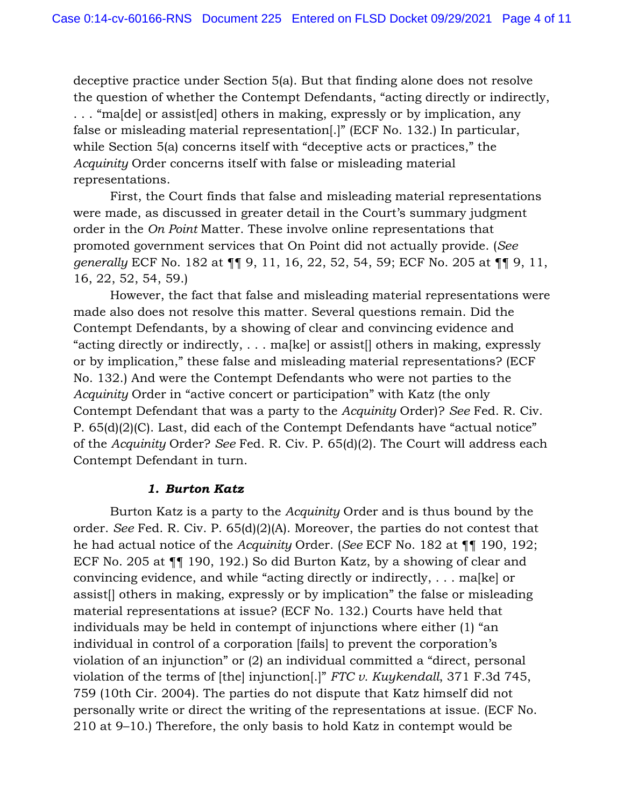deceptive practice under Section 5(a). But that finding alone does not resolve the question of whether the Contempt Defendants, "acting directly or indirectly, . . . "ma[de] or assist[ed] others in making, expressly or by implication, any false or misleading material representation[.]" (ECF No. 132.) In particular, while Section 5(a) concerns itself with "deceptive acts or practices," the *Acquinity* Order concerns itself with false or misleading material representations.

First, the Court finds that false and misleading material representations were made, as discussed in greater detail in the Court's summary judgment order in the *On Point* Matter. These involve online representations that promoted government services that On Point did not actually provide. (*See generally* ECF No. 182 at ¶¶ 9, 11, 16, 22, 52, 54, 59; ECF No. 205 at ¶¶ 9, 11, 16, 22, 52, 54, 59.)

However, the fact that false and misleading material representations were made also does not resolve this matter. Several questions remain. Did the Contempt Defendants, by a showing of clear and convincing evidence and "acting directly or indirectly, . . . ma[ke] or assist[] others in making, expressly or by implication," these false and misleading material representations? (ECF No. 132.) And were the Contempt Defendants who were not parties to the *Acquinity* Order in "active concert or participation" with Katz (the only Contempt Defendant that was a party to the *Acquinity* Order)? *See* Fed. R. Civ. P. 65(d)(2)(C). Last, did each of the Contempt Defendants have "actual notice" of the *Acquinity* Order? *See* Fed. R. Civ. P. 65(d)(2). The Court will address each Contempt Defendant in turn.

#### *1. Burton Katz*

Burton Katz is a party to the *Acquinity* Order and is thus bound by the order. *See* Fed. R. Civ. P. 65(d)(2)(A). Moreover, the parties do not contest that he had actual notice of the *Acquinity* Order. (*See* ECF No. 182 at ¶¶ 190, 192; ECF No. 205 at ¶¶ 190, 192.) So did Burton Katz, by a showing of clear and convincing evidence, and while "acting directly or indirectly, . . . ma[ke] or assist[] others in making, expressly or by implication" the false or misleading material representations at issue? (ECF No. 132.) Courts have held that individuals may be held in contempt of injunctions where either (1) "an individual in control of a corporation [fails] to prevent the corporation's violation of an injunction" or (2) an individual committed a "direct, personal violation of the terms of [the] injunction[.]" *FTC v. Kuykendall*, 371 F.3d 745, 759 (10th Cir. 2004). The parties do not dispute that Katz himself did not personally write or direct the writing of the representations at issue. (ECF No. 210 at 9–10.) Therefore, the only basis to hold Katz in contempt would be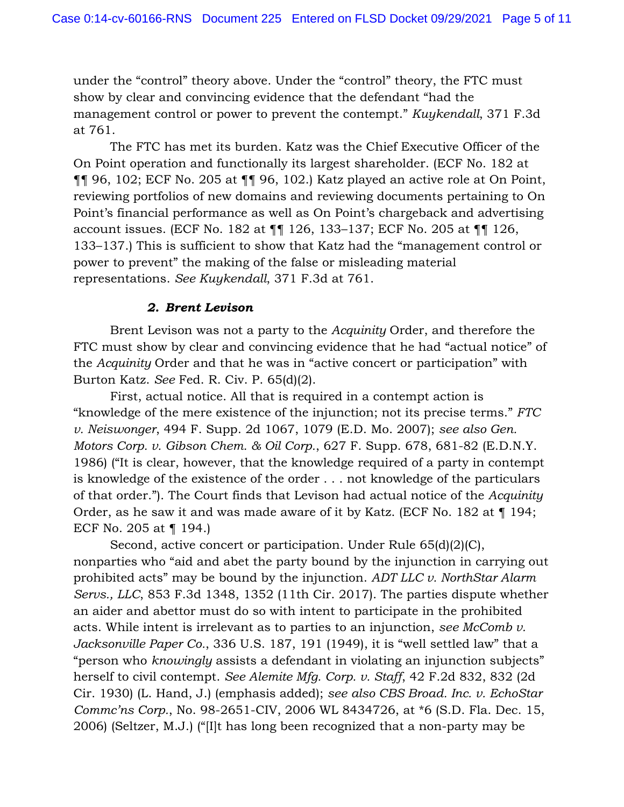under the "control" theory above. Under the "control" theory, the FTC must show by clear and convincing evidence that the defendant "had the management control or power to prevent the contempt." *Kuykendall*, 371 F.3d at 761.

The FTC has met its burden. Katz was the Chief Executive Officer of the On Point operation and functionally its largest shareholder. (ECF No. 182 at ¶¶ 96, 102; ECF No. 205 at ¶¶ 96, 102.) Katz played an active role at On Point, reviewing portfolios of new domains and reviewing documents pertaining to On Point's financial performance as well as On Point's chargeback and advertising account issues. (ECF No. 182 at ¶¶ 126, 133–137; ECF No. 205 at ¶¶ 126, 133–137.) This is sufficient to show that Katz had the "management control or power to prevent" the making of the false or misleading material representations. *See Kuykendall*, 371 F.3d at 761.

### *2. Brent Levison*

Brent Levison was not a party to the *Acquinity* Order, and therefore the FTC must show by clear and convincing evidence that he had "actual notice" of the *Acquinity* Order and that he was in "active concert or participation" with Burton Katz. *See* Fed. R. Civ. P. 65(d)(2).

First, actual notice. All that is required in a contempt action is "knowledge of the mere existence of the injunction; not its precise terms." *FTC v. Neiswonger*, 494 F. Supp. 2d 1067, 1079 (E.D. Mo. 2007); *see also Gen. Motors Corp. v. Gibson Chem. & Oil Corp.*, 627 F. Supp. 678, 681-82 (E.D.N.Y. 1986) ("It is clear, however, that the knowledge required of a party in contempt is knowledge of the existence of the order . . . not knowledge of the particulars of that order."). The Court finds that Levison had actual notice of the *Acquinity*  Order, as he saw it and was made aware of it by Katz. (ECF No. 182 at ¶ 194; ECF No. 205 at ¶ 194.)

Second, active concert or participation. Under Rule 65(d)(2)(C), nonparties who "aid and abet the party bound by the injunction in carrying out prohibited acts" may be bound by the injunction. *ADT LLC v. NorthStar Alarm Servs., LLC*, 853 F.3d 1348, 1352 (11th Cir. 2017). The parties dispute whether an aider and abettor must do so with intent to participate in the prohibited acts. While intent is irrelevant as to parties to an injunction, *see McComb v. Jacksonville Paper Co.*, 336 U.S. 187, 191 (1949), it is "well settled law" that a "person who *knowingly* assists a defendant in violating an injunction subjects" herself to civil contempt. *See Alemite Mfg. Corp. v. Staff*, 42 F.2d 832, 832 (2d Cir. 1930) (L. Hand, J.) (emphasis added); *see also CBS Broad. Inc. v. EchoStar Commc'ns Corp.*, No. 98-2651-CIV, 2006 WL 8434726, at \*6 (S.D. Fla. Dec. 15, 2006) (Seltzer, M.J.) ("[I]t has long been recognized that a non-party may be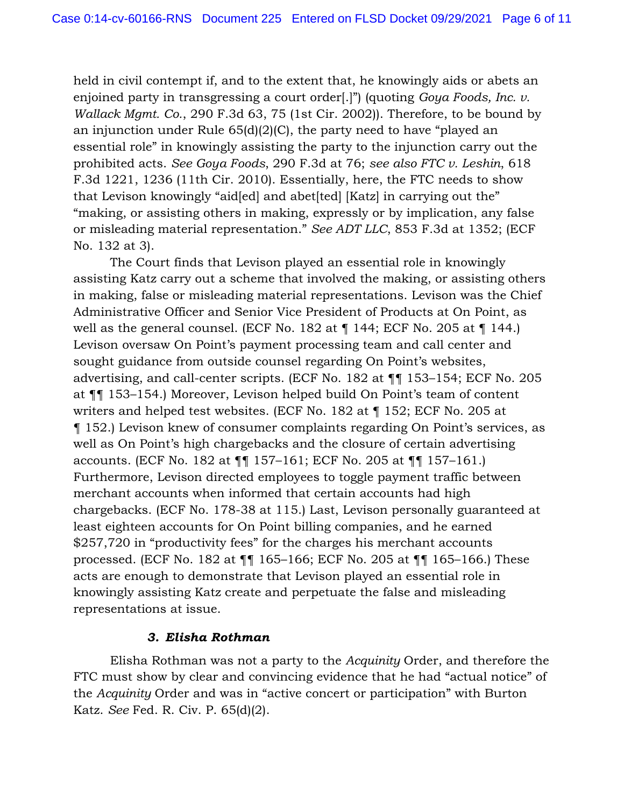held in civil contempt if, and to the extent that, he knowingly aids or abets an enjoined party in transgressing a court order[.]") (quoting *Goya Foods, Inc. v. Wallack Mgmt. Co.*, 290 F.3d 63, 75 (1st Cir. 2002)). Therefore, to be bound by an injunction under Rule 65(d)(2)(C), the party need to have "played an essential role" in knowingly assisting the party to the injunction carry out the prohibited acts. *See Goya Foods*, 290 F.3d at 76; *see also FTC v. Leshin*, 618 F.3d 1221, 1236 (11th Cir. 2010). Essentially, here, the FTC needs to show that Levison knowingly "aid[ed] and abet[ted] [Katz] in carrying out the" "making, or assisting others in making, expressly or by implication, any false or misleading material representation." *See ADT LLC*, 853 F.3d at 1352; (ECF No. 132 at 3).

The Court finds that Levison played an essential role in knowingly assisting Katz carry out a scheme that involved the making, or assisting others in making, false or misleading material representations. Levison was the Chief Administrative Officer and Senior Vice President of Products at On Point, as well as the general counsel. (ECF No. 182 at ¶ 144; ECF No. 205 at ¶ 144.) Levison oversaw On Point's payment processing team and call center and sought guidance from outside counsel regarding On Point's websites, advertising, and call-center scripts. (ECF No. 182 at ¶¶ 153–154; ECF No. 205 at ¶¶ 153–154.) Moreover, Levison helped build On Point's team of content writers and helped test websites. (ECF No. 182 at ¶ 152; ECF No. 205 at ¶ 152.) Levison knew of consumer complaints regarding On Point's services, as well as On Point's high chargebacks and the closure of certain advertising accounts. (ECF No. 182 at ¶¶ 157–161; ECF No. 205 at ¶¶ 157–161.) Furthermore, Levison directed employees to toggle payment traffic between merchant accounts when informed that certain accounts had high chargebacks. (ECF No. 178-38 at 115.) Last, Levison personally guaranteed at least eighteen accounts for On Point billing companies, and he earned \$257,720 in "productivity fees" for the charges his merchant accounts processed. (ECF No. 182 at ¶¶ 165–166; ECF No. 205 at ¶¶ 165–166.) These acts are enough to demonstrate that Levison played an essential role in knowingly assisting Katz create and perpetuate the false and misleading representations at issue.

#### *3. Elisha Rothman*

Elisha Rothman was not a party to the *Acquinity* Order, and therefore the FTC must show by clear and convincing evidence that he had "actual notice" of the *Acquinity* Order and was in "active concert or participation" with Burton Katz. *See* Fed. R. Civ. P. 65(d)(2).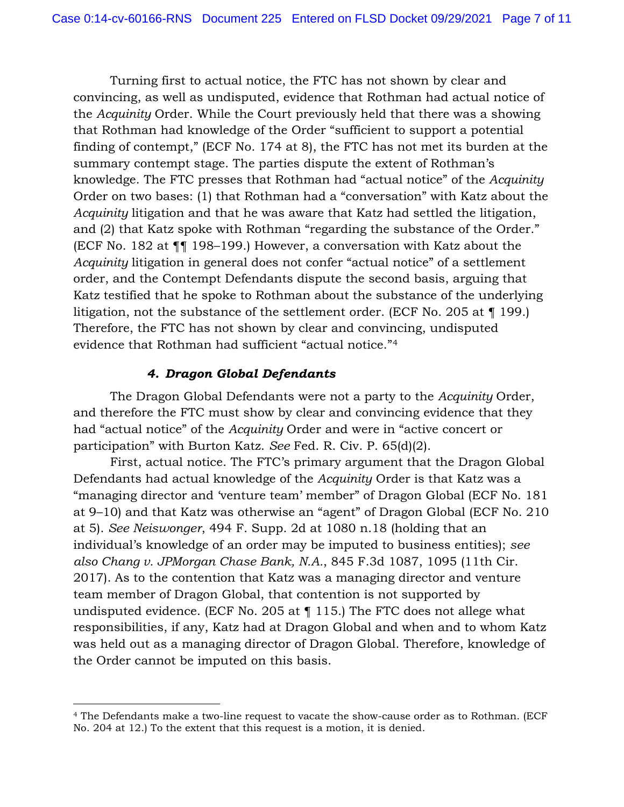Turning first to actual notice, the FTC has not shown by clear and convincing, as well as undisputed, evidence that Rothman had actual notice of the *Acquinity* Order. While the Court previously held that there was a showing that Rothman had knowledge of the Order "sufficient to support a potential finding of contempt," (ECF No. 174 at 8), the FTC has not met its burden at the summary contempt stage. The parties dispute the extent of Rothman's knowledge. The FTC presses that Rothman had "actual notice" of the *Acquinity*  Order on two bases: (1) that Rothman had a "conversation" with Katz about the *Acquinity* litigation and that he was aware that Katz had settled the litigation, and (2) that Katz spoke with Rothman "regarding the substance of the Order." (ECF No. 182 at ¶¶ 198–199.) However, a conversation with Katz about the *Acquinity* litigation in general does not confer "actual notice" of a settlement order, and the Contempt Defendants dispute the second basis, arguing that Katz testified that he spoke to Rothman about the substance of the underlying litigation, not the substance of the settlement order. (ECF No. 205 at ¶ 199.) Therefore, the FTC has not shown by clear and convincing, undisputed evidence that Rothman had sufficient "actual notice."4

#### *4. Dragon Global Defendants*

The Dragon Global Defendants were not a party to the *Acquinity* Order, and therefore the FTC must show by clear and convincing evidence that they had "actual notice" of the *Acquinity* Order and were in "active concert or participation" with Burton Katz. *See* Fed. R. Civ. P. 65(d)(2).

First, actual notice. The FTC's primary argument that the Dragon Global Defendants had actual knowledge of the *Acquinity* Order is that Katz was a "managing director and 'venture team' member" of Dragon Global (ECF No. 181 at 9–10) and that Katz was otherwise an "agent" of Dragon Global (ECF No. 210 at 5). *See Neiswonger*, 494 F. Supp. 2d at 1080 n.18 (holding that an individual's knowledge of an order may be imputed to business entities); *see also Chang v. JPMorgan Chase Bank, N.A.*, 845 F.3d 1087, 1095 (11th Cir. 2017). As to the contention that Katz was a managing director and venture team member of Dragon Global, that contention is not supported by undisputed evidence. (ECF No. 205 at ¶ 115.) The FTC does not allege what responsibilities, if any, Katz had at Dragon Global and when and to whom Katz was held out as a managing director of Dragon Global. Therefore, knowledge of the Order cannot be imputed on this basis.

<sup>4</sup> The Defendants make a two-line request to vacate the show-cause order as to Rothman. (ECF No. 204 at 12.) To the extent that this request is a motion, it is denied.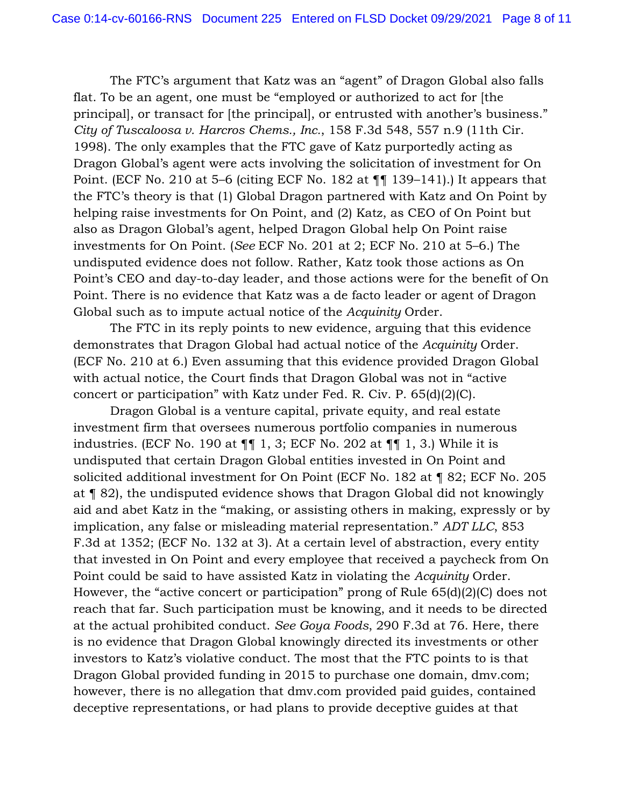The FTC's argument that Katz was an "agent" of Dragon Global also falls flat. To be an agent, one must be "employed or authorized to act for [the principal], or transact for [the principal], or entrusted with another's business." *City of Tuscaloosa v. Harcros Chems., Inc.*, 158 F.3d 548, 557 n.9 (11th Cir. 1998). The only examples that the FTC gave of Katz purportedly acting as Dragon Global's agent were acts involving the solicitation of investment for On Point. (ECF No. 210 at 5–6 (citing ECF No. 182 at ¶¶ 139–141).) It appears that the FTC's theory is that (1) Global Dragon partnered with Katz and On Point by helping raise investments for On Point, and (2) Katz, as CEO of On Point but also as Dragon Global's agent, helped Dragon Global help On Point raise investments for On Point. (*See* ECF No. 201 at 2; ECF No. 210 at 5–6.) The undisputed evidence does not follow. Rather, Katz took those actions as On Point's CEO and day-to-day leader, and those actions were for the benefit of On Point. There is no evidence that Katz was a de facto leader or agent of Dragon Global such as to impute actual notice of the *Acquinity* Order.

The FTC in its reply points to new evidence, arguing that this evidence demonstrates that Dragon Global had actual notice of the *Acquinity* Order. (ECF No. 210 at 6.) Even assuming that this evidence provided Dragon Global with actual notice, the Court finds that Dragon Global was not in "active concert or participation" with Katz under Fed. R. Civ. P. 65(d)(2)(C).

Dragon Global is a venture capital, private equity, and real estate investment firm that oversees numerous portfolio companies in numerous industries. (ECF No. 190 at  $\P\P$  1, 3; ECF No. 202 at  $\P\P$  1, 3.) While it is undisputed that certain Dragon Global entities invested in On Point and solicited additional investment for On Point (ECF No. 182 at ¶ 82; ECF No. 205 at ¶ 82), the undisputed evidence shows that Dragon Global did not knowingly aid and abet Katz in the "making, or assisting others in making, expressly or by implication, any false or misleading material representation." *ADT LLC*, 853 F.3d at 1352; (ECF No. 132 at 3). At a certain level of abstraction, every entity that invested in On Point and every employee that received a paycheck from On Point could be said to have assisted Katz in violating the *Acquinity* Order. However, the "active concert or participation" prong of Rule 65(d)(2)(C) does not reach that far. Such participation must be knowing, and it needs to be directed at the actual prohibited conduct. *See Goya Foods*, 290 F.3d at 76. Here, there is no evidence that Dragon Global knowingly directed its investments or other investors to Katz's violative conduct. The most that the FTC points to is that Dragon Global provided funding in 2015 to purchase one domain, dmv.com; however, there is no allegation that dmv.com provided paid guides, contained deceptive representations, or had plans to provide deceptive guides at that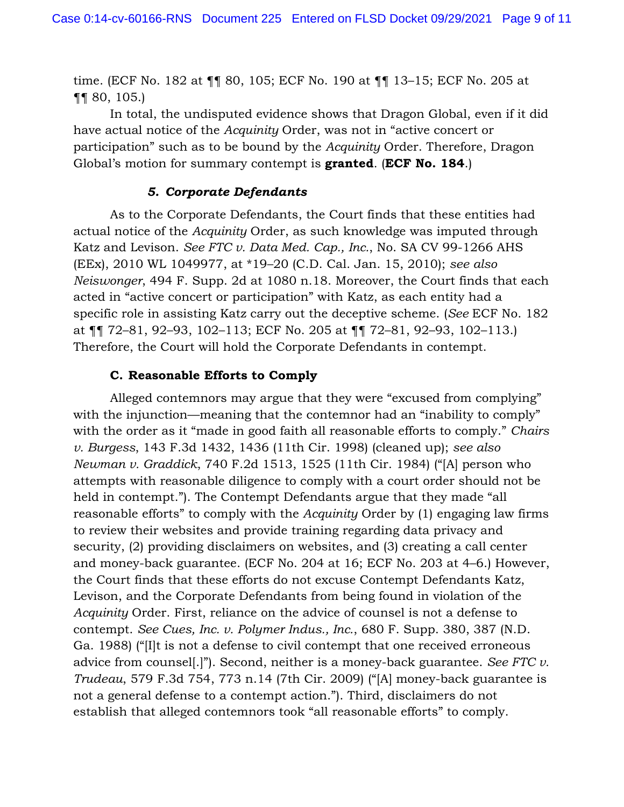time. (ECF No. 182 at ¶¶ 80, 105; ECF No. 190 at ¶¶ 13–15; ECF No. 205 at ¶¶ 80, 105.)

In total, the undisputed evidence shows that Dragon Global, even if it did have actual notice of the *Acquinity* Order, was not in "active concert or participation" such as to be bound by the *Acquinity* Order. Therefore, Dragon Global's motion for summary contempt is **granted**. (**ECF No. 184**.)

#### *5. Corporate Defendants*

As to the Corporate Defendants, the Court finds that these entities had actual notice of the *Acquinity* Order, as such knowledge was imputed through Katz and Levison. *See FTC v. Data Med. Cap., Inc.*, No. SA CV 99-1266 AHS (EEx), 2010 WL 1049977, at \*19–20 (C.D. Cal. Jan. 15, 2010); *see also Neiswonger*, 494 F. Supp. 2d at 1080 n.18. Moreover, the Court finds that each acted in "active concert or participation" with Katz, as each entity had a specific role in assisting Katz carry out the deceptive scheme. (*See* ECF No. 182 at ¶¶ 72–81, 92–93, 102–113; ECF No. 205 at ¶¶ 72–81, 92–93, 102–113.) Therefore, the Court will hold the Corporate Defendants in contempt.

#### **C. Reasonable Efforts to Comply**

Alleged contemnors may argue that they were "excused from complying" with the injunction—meaning that the contemnor had an "inability to comply" with the order as it "made in good faith all reasonable efforts to comply." *Chairs v. Burgess*, 143 F.3d 1432, 1436 (11th Cir. 1998) (cleaned up); *see also Newman v. Graddick*, 740 F.2d 1513, 1525 (11th Cir. 1984) ("[A] person who attempts with reasonable diligence to comply with a court order should not be held in contempt."). The Contempt Defendants argue that they made "all reasonable efforts" to comply with the *Acquinity* Order by (1) engaging law firms to review their websites and provide training regarding data privacy and security, (2) providing disclaimers on websites, and (3) creating a call center and money-back guarantee. (ECF No. 204 at 16; ECF No. 203 at 4–6.) However, the Court finds that these efforts do not excuse Contempt Defendants Katz, Levison, and the Corporate Defendants from being found in violation of the *Acquinity* Order. First, reliance on the advice of counsel is not a defense to contempt. *See Cues, Inc. v. Polymer Indus., Inc.*, 680 F. Supp. 380, 387 (N.D. Ga. 1988) ("[I]t is not a defense to civil contempt that one received erroneous advice from counsel[.]"). Second, neither is a money-back guarantee. *See FTC v. Trudeau*, 579 F.3d 754, 773 n.14 (7th Cir. 2009) ("[A] money-back guarantee is not a general defense to a contempt action."). Third, disclaimers do not establish that alleged contemnors took "all reasonable efforts" to comply.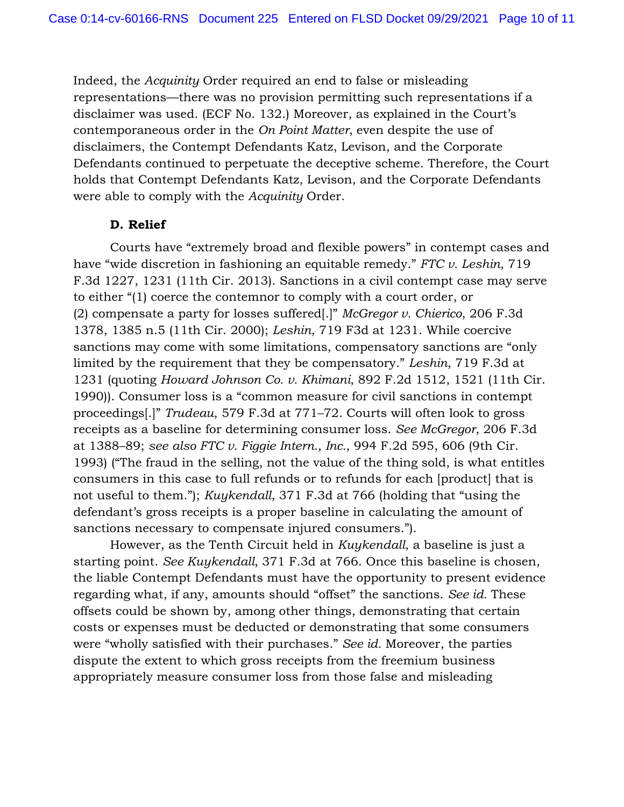Indeed, the *Acquinity* Order required an end to false or misleading representations—there was no provision permitting such representations if a disclaimer was used. (ECF No. 132.) Moreover, as explained in the Court's contemporaneous order in the *On Point Matter*, even despite the use of disclaimers, the Contempt Defendants Katz, Levison, and the Corporate Defendants continued to perpetuate the deceptive scheme. Therefore, the Court holds that Contempt Defendants Katz, Levison, and the Corporate Defendants were able to comply with the *Acquinity* Order.

### **D. Relief**

Courts have "extremely broad and flexible powers" in contempt cases and have "wide discretion in fashioning an equitable remedy." *FTC v. Leshin*, 719 F.3d 1227, 1231 (11th Cir. 2013). Sanctions in a civil contempt case may serve to either "(1) coerce the contemnor to comply with a court order, or (2) compensate a party for losses suffered[.]" *McGregor v. Chierico*, 206 F.3d 1378, 1385 n.5 (11th Cir. 2000); *Leshin*, 719 F3d at 1231. While coercive sanctions may come with some limitations, compensatory sanctions are "only limited by the requirement that they be compensatory." *Leshin*, 719 F.3d at 1231 (quoting *Howard Johnson Co. v. Khimani*, 892 F.2d 1512, 1521 (11th Cir. 1990)). Consumer loss is a "common measure for civil sanctions in contempt proceedings[.]" *Trudeau*, 579 F.3d at 771–72. Courts will often look to gross receipts as a baseline for determining consumer loss. *See McGregor*, 206 F.3d at 1388–89; *see also FTC v. Figgie Intern., Inc.*, 994 F.2d 595, 606 (9th Cir. 1993) ("The fraud in the selling, not the value of the thing sold, is what entitles consumers in this case to full refunds or to refunds for each [product] that is not useful to them."); *Kuykendall*, 371 F.3d at 766 (holding that "using the defendant's gross receipts is a proper baseline in calculating the amount of sanctions necessary to compensate injured consumers.").

However, as the Tenth Circuit held in *Kuykendall*, a baseline is just a starting point. *See Kuykendall*, 371 F.3d at 766. Once this baseline is chosen, the liable Contempt Defendants must have the opportunity to present evidence regarding what, if any, amounts should "offset" the sanctions. *See id.* These offsets could be shown by, among other things, demonstrating that certain costs or expenses must be deducted or demonstrating that some consumers were "wholly satisfied with their purchases." *See id.* Moreover, the parties dispute the extent to which gross receipts from the freemium business appropriately measure consumer loss from those false and misleading